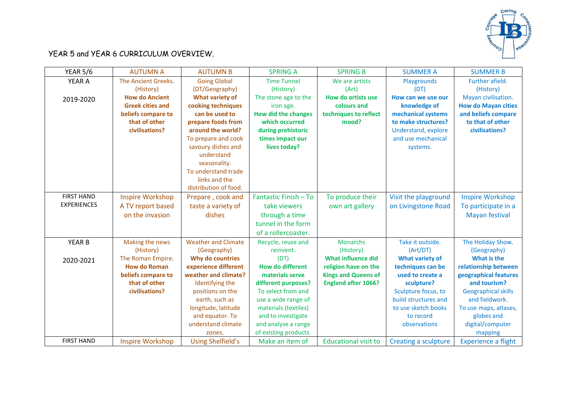

## YEAR 5 and YEAR 6 CURRICULUM OVERVIEW.

| <b>YEAR 5/6</b>    | <b>AUTUMN A</b>         | <b>AUTUMN B</b>            | <b>SPRING A</b>            | <b>SPRING B</b>             | <b>SUMMER A</b>             | <b>SUMMER B</b>            |
|--------------------|-------------------------|----------------------------|----------------------------|-----------------------------|-----------------------------|----------------------------|
| YEAR A             | The Ancient Greeks.     | <b>Going Global</b>        | <b>Time Tunnel</b>         | We are artists              | Playgrounds                 | Further afield.            |
|                    | (History)               | (DT/Geography)             | (History)                  | (Art)                       | (DT)                        | (History)                  |
| 2019-2020          | <b>How do Ancient</b>   | <b>What variety of</b>     | The stone age to the       | How do artists use          | How can we use our          | Mayan civilisation.        |
|                    | <b>Greek cities and</b> | cooking techniques         | iron age.                  | colours and                 | knowledge of                | <b>How do Mayan cities</b> |
|                    | beliefs compare to      | can be used to             | <b>How did the changes</b> | techniques to reflect       | mechanical systems          | and beliefs compare        |
|                    | that of other           | prepare foods from         | which occurred             | mood?                       | to make structures?         | to that of other           |
|                    | civilisations?          | around the world?          | during prehistoric         |                             | Understand, explore         | civilisations?             |
|                    |                         | To prepare and cook        | times impact our           |                             | and use mechanical          |                            |
|                    |                         | savoury dishes and         | lives today?               |                             | systems.                    |                            |
|                    |                         | understand                 |                            |                             |                             |                            |
|                    |                         | seasonality.               |                            |                             |                             |                            |
|                    |                         | To understand trade        |                            |                             |                             |                            |
|                    |                         | links and the              |                            |                             |                             |                            |
|                    |                         | distribution of food.      |                            |                             |                             |                            |
| <b>FIRST HAND</b>  | <b>Inspire Workshop</b> | Prepare, cook and          | Fantastic Finish - To      | To produce their            | Visit the playground        | <b>Inspire Workshop</b>    |
| <b>EXPERIENCES</b> | A TV report based       | taste a variety of         | take viewers               | own art gallery             | on Livingstone Road         | To participate in a        |
|                    | on the invasion         | dishes                     | through a time             |                             |                             | <b>Mayan festival</b>      |
|                    |                         |                            | tunnel in the form         |                             |                             |                            |
|                    |                         |                            | of a rollercoaster.        |                             |                             |                            |
| <b>YEAR B</b>      | Making the news         | <b>Weather and Climate</b> | Recycle, reuse and         | <b>Monarchs</b>             | Take it outside.            | The Holiday Show.          |
|                    | (History)               | (Geography)                | reinvent.                  | (History)                   | (Art/DT)                    | (Geography)                |
| 2020-2021          | The Roman Empire.       | Why do countries           | (DT)                       | <b>What influence did</b>   | <b>What variety of</b>      | What is the                |
|                    | <b>How do Roman</b>     | experience different       | <b>How do different</b>    | religion have on the        | techniques can be           | relationship between       |
|                    | beliefs compare to      | weather and climate?       | materials serve            | <b>Kings and Queens of</b>  | used to create a            | geographical features      |
|                    | that of other           | Identifying the            | different purposes?        | <b>England after 1066?</b>  | sculpture?                  | and tourism?               |
|                    | civilisations?          | positions on the           | To select from and         |                             | Sculpture focus, to         | <b>Geographical skills</b> |
|                    |                         | earth, such as             | use a wide range of        |                             | build structures and        | and fieldwork.             |
|                    |                         | longitude, latitude        | materials (textiles)       |                             | to use sketch books         | To use maps, atlases,      |
|                    |                         | and equator. To            | and to investigate         |                             | to record                   | globes and                 |
|                    |                         | understand climate         | and analyse a range        |                             | observations                | digital/computer           |
|                    |                         | zones.                     | of existing products.      |                             |                             | mapping                    |
| <b>FIRST HAND</b>  | <b>Inspire Workshop</b> | <b>Using Shelfield's</b>   | Make an item of            | <b>Educational visit to</b> | <b>Creating a sculpture</b> | <b>Experience a flight</b> |